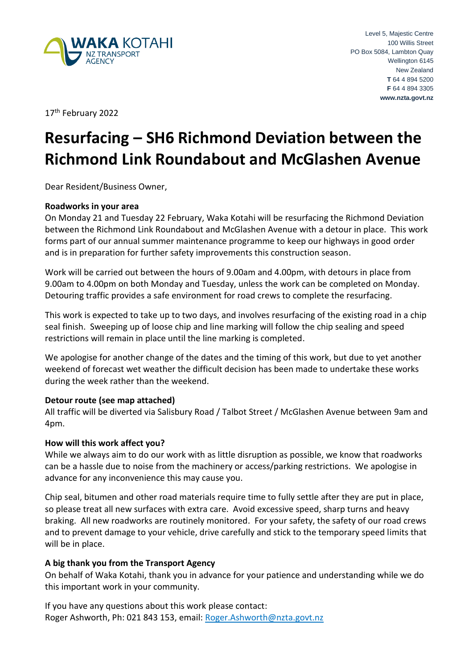

17<sup>th</sup> February 2022

# **Resurfacing – SH6 Richmond Deviation between the Richmond Link Roundabout and McGlashen Avenue**

Dear Resident/Business Owner,

#### **Roadworks in your area**

On Monday 21 and Tuesday 22 February, Waka Kotahi will be resurfacing the Richmond Deviation between the Richmond Link Roundabout and McGlashen Avenue with a detour in place. This work forms part of our annual summer maintenance programme to keep our highways in good order and is in preparation for further safety improvements this construction season.

Work will be carried out between the hours of 9.00am and 4.00pm, with detours in place from 9.00am to 4.00pm on both Monday and Tuesday, unless the work can be completed on Monday. Detouring traffic provides a safe environment for road crews to complete the resurfacing.

This work is expected to take up to two days, and involves resurfacing of the existing road in a chip seal finish. Sweeping up of loose chip and line marking will follow the chip sealing and speed restrictions will remain in place until the line marking is completed.

We apologise for another change of the dates and the timing of this work, but due to yet another weekend of forecast wet weather the difficult decision has been made to undertake these works during the week rather than the weekend.

## **Detour route (see map attached)**

All traffic will be diverted via Salisbury Road / Talbot Street / McGlashen Avenue between 9am and 4pm.

#### **How will this work affect you?**

While we always aim to do our work with as little disruption as possible, we know that roadworks can be a hassle due to noise from the machinery or access/parking restrictions. We apologise in advance for any inconvenience this may cause you.

Chip seal, bitumen and other road materials require time to fully settle after they are put in place, so please treat all new surfaces with extra care. Avoid excessive speed, sharp turns and heavy braking. All new roadworks are routinely monitored. For your safety, the safety of our road crews and to prevent damage to your vehicle, drive carefully and stick to the temporary speed limits that will be in place.

## **A big thank you from the Transport Agency**

On behalf of Waka Kotahi, thank you in advance for your patience and understanding while we do this important work in your community.

If you have any questions about this work please contact: Roger Ashworth, Ph: 021 843 153, email: [Roger.Ashworth@nzta.govt.nz](mailto:Roger.Ashworth@nzta.govt.nz)